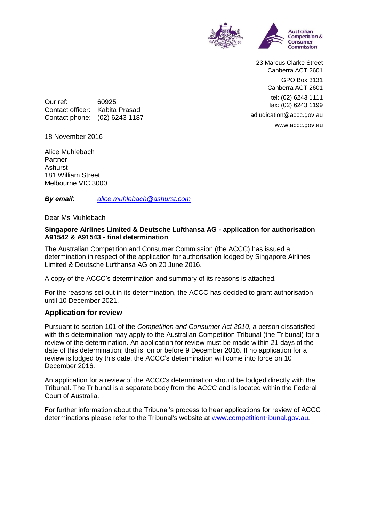

23 Marcus Clarke Street Canberra ACT 2601 GPO Box 3131 Canberra ACT 2601 tel: (02) 6243 1111 fax: (02) 6243 1199 adjudication@accc.gov.au www.accc.gov.au

Our ref: 60925 Contact officer: Kabita Prasad Contact phone: (02) 6243 1187

18 November 2016

Alice Muhlebach **Partner** Ashurst 181 William Street Melbourne VIC 3000

*By email*: *[alice.muhlebach@ashurst.com](mailto:alice.muhlebach@ashurst.com)*

Dear Ms Muhlebach

## **Singapore Airlines Limited & Deutsche Lufthansa AG - application for authorisation A91542 & A91543 - final determination**

The Australian Competition and Consumer Commission (the ACCC) has issued a determination in respect of the application for authorisation lodged by Singapore Airlines Limited & Deutsche Lufthansa AG on 20 June 2016.

A copy of the ACCC's determination and summary of its reasons is attached.

For the reasons set out in its determination, the ACCC has decided to grant authorisation until 10 December 2021.

## **Application for review**

Pursuant to section 101 of the *Competition and Consumer Act 2010*, a person dissatisfied with this determination may apply to the Australian Competition Tribunal (the Tribunal) for a review of the determination. An application for review must be made within 21 days of the date of this determination; that is, on or before 9 December 2016. If no application for a review is lodged by this date, the ACCC's determination will come into force on 10 December 2016.

An application for a review of the ACCC's determination should be lodged directly with the Tribunal. The Tribunal is a separate body from the ACCC and is located within the Federal Court of Australia.

For further information about the Tribunal's process to hear applications for review of ACCC determinations please refer to the Tribunal's website at [www.competitiontribunal.gov.au.](http://www.competitiontribunal.gov.au/)